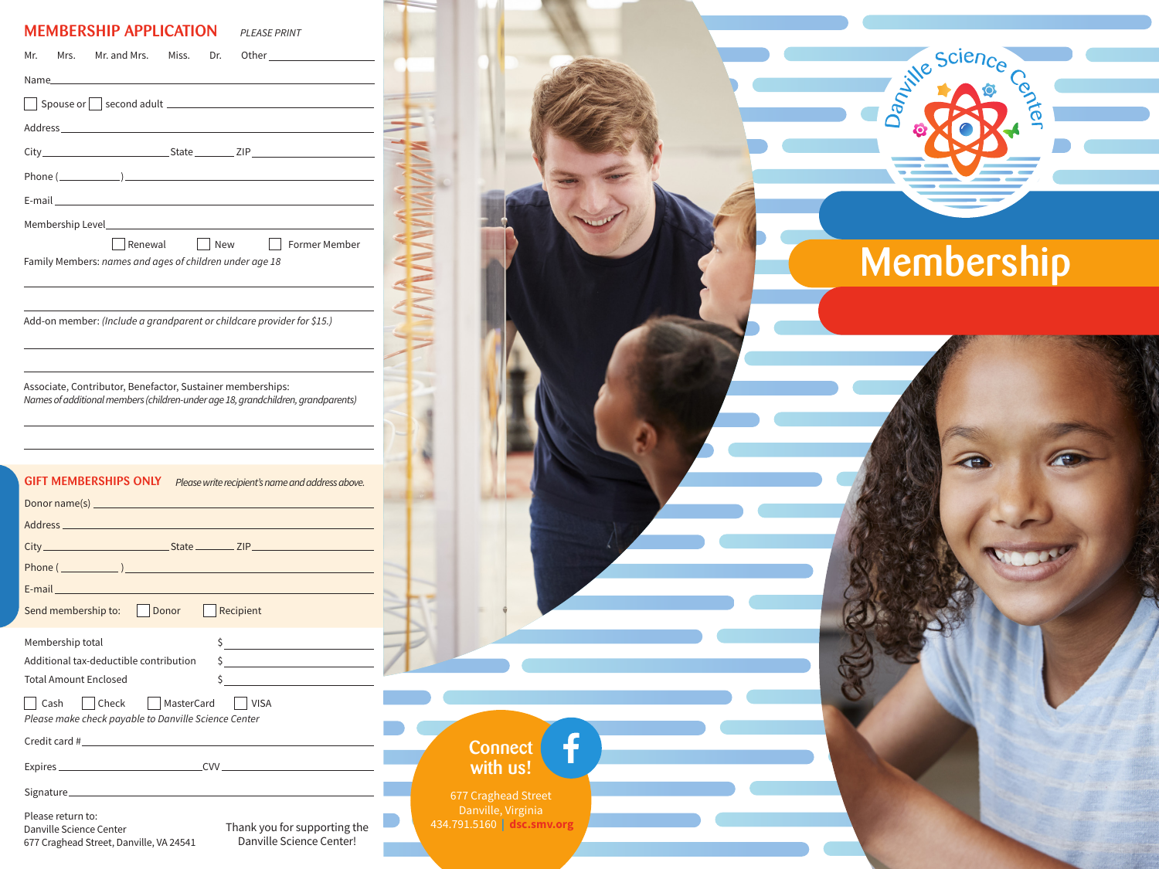### MEMBERSHIP APPLICATION

|                                                                                                                         | Other _________________________ |
|-------------------------------------------------------------------------------------------------------------------------|---------------------------------|
|                                                                                                                         |                                 |
| Spouse or Second adult Second and Second and Second Adult Second and Second Adult 2014                                  |                                 |
| Address and the contract of the contract of the contract of the contract of the contract of the contract of the         |                                 |
|                                                                                                                         |                                 |
| Phone $(\_\_)$                                                                                                          |                                 |
|                                                                                                                         |                                 |
|                                                                                                                         |                                 |
| New<br>  Former Member<br>Renewal<br>Family Members: names and ages of children under age 18                            |                                 |
| Add-on member: (Include a grandparent or childcare provider for \$15.)                                                  |                                 |
|                                                                                                                         |                                 |
|                                                                                                                         |                                 |
| <b>GIFT MEMBERSHIPS ONLY</b> Please write recipient's name and address above.                                           |                                 |
| Address <b>Management Community and Community</b> and Community and Community and Community and Community and Community |                                 |
|                                                                                                                         |                                 |
|                                                                                                                         |                                 |
|                                                                                                                         |                                 |
|                                                                                                                         |                                 |
| Send membership to:   Donor   Recipient<br>$\frac{1}{\sqrt{2}}$<br>Membership total                                     |                                 |
| Additional tax-deductible contribution<br>$\frac{1}{2}$                                                                 |                                 |
| <b>Total Amount Enclosed</b><br>$\mathsf{S}$                                                                            |                                 |
| MasterCard<br>Cash<br>l Check<br>VISA<br>Please make check payable to Danville Science Center                           |                                 |
| Credit card #                                                                                                           |                                 |
|                                                                                                                         |                                 |
|                                                                                                                         |                                 |

Danville Science Center 677 Craghead Street, Danville, VA 24541

Thank you for supporting the Danville Science Center!

Membership

Constitute Science

Center

f **Connect** with us! 677 Craghead Street Danville, Virginia 434.791.5160 **| dsc.smv.org**